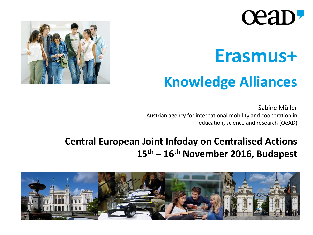# **Ceap-**

# **Erasmus+**

## **Knowledge Alliances**

Sabine Müller Austrian agency for international mobility and cooperation in education, science and research (OeAD)



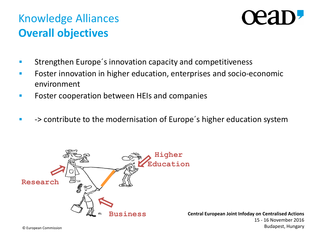## Knowledge Alliances **Overall objectives**



- **EXECTE:** Strengthen Europe's innovation capacity and competitiveness
- Foster innovation in higher education, enterprises and socio-economic environment
- Foster cooperation between HEIs and companies
- -> contribute to the modernisation of Europe´s higher education system

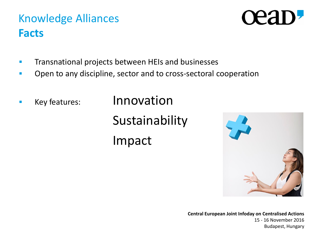### **Central European Joint Infoday on Centralised Actions** 15 - 16 November 2016 Budapest, Hungary

### Knowledge Alliances **Facts**

- **The Transnational projects between HEIs and businesses**
- **•** Open to any discipline, sector and to cross-sectoral cooperation
- 

**EXECUTE:** Innovation Sustainability Impact



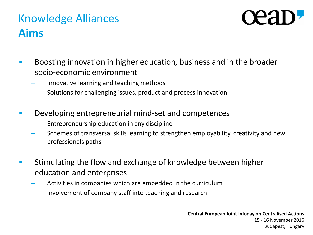## Knowledge Alliances **Aims**



- **Boosting innovation in higher education, business and in the broader** socio-economic environment
	- Innovative learning and teaching methods
	- Solutions for challenging issues, product and process innovation
- Developing entrepreneurial mind-set and competences
	- Entrepreneurship education in any discipline
	- Schemes of transversal skills learning to strengthen employability, creativity and new professionals paths
- **EXTE** Stimulating the flow and exchange of knowledge between higher education and enterprises
	- Activities in companies which are embedded in the curriculum
	- Involvement of company staff into teaching and research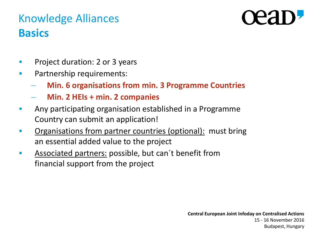## Knowledge Alliances **Basics**

- **Project duration: 2 or 3 years**
- **Partnership requirements:** 
	- **Min. 6 organisations from min. 3 Programme Countries**
	- **Min. 2 HEIs + min. 2 companies**
- Any participating organisation established in a Programme Country can submit an application!
- Organisations from partner countries (optional): must bring an essential added value to the project
- **Associated partners: possible, but can't benefit from** financial support from the project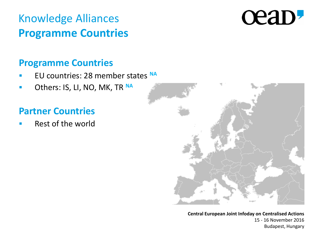## Knowledge Alliances **Programme Countries**

# cean,

### **Programme Countries**

- EU countries: 28 member states **NA**
- **COROOK COROOK CONTRANT CONTRANTLY**

### **Partner Countries**

Rest of the world

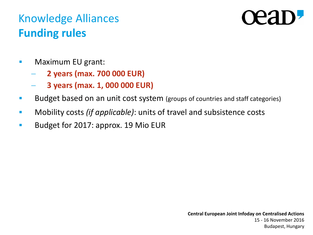## Knowledge Alliances **Funding rules**

- **Naximum EU grant:** 
	- **2 years (max. 700 000 EUR)**
	- **3 years (max. 1, 000 000 EUR)**
- **Budget based on an unit cost system** (groups of countries and staff categories)
- Mobility costs *(if applicable)*: units of travel and subsistence costs
- Budget for 2017: approx. 19 Mio EUR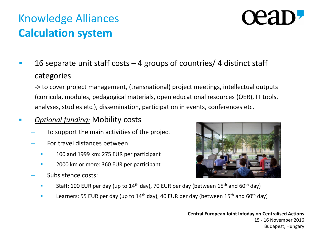## Knowledge Alliances **Calculation system**

# **TEAT**

 16 separate unit staff costs – 4 groups of countries/ 4 distinct staff categories

-> to cover project management, (transnational) project meetings, intellectual outputs (curricula, modules, pedagogical materials, open educational resources (OER), IT tools, analyses, studies etc.), dissemination, participation in events, conferences etc.

- *Optional funding:* Mobility costs
	- To support the main activities of the project
	- For travel distances between
		- 100 and 1999 km: 275 EUR per participant
		- 2000 km or more: 360 EUR per participant
	- Subsistence costs:



- Staff: 100 EUR per day (up to  $14<sup>th</sup>$  day), 70 EUR per day (between  $15<sup>th</sup>$  and  $60<sup>th</sup>$  day)
- Learners: 55 EUR per day (up to  $14<sup>th</sup>$  day), 40 EUR per day (between  $15<sup>th</sup>$  and  $60<sup>th</sup>$  day)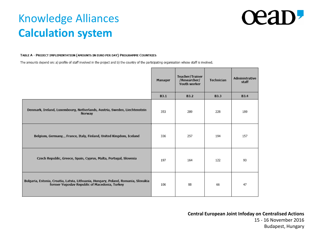## Knowledge Alliances **Calculation system**

# ceap

### TABLE A - PROJECT IMPLEMENTATION (AMOUNTS IN EURO PER DAY) PROGRAMME COUNTRIES

The amounts depend on: a) profile of staff involved in the project and b) the country of the participating organisation whose staff is involved.

|                                                                                                                                    | Manager     | Teacher/Trainer<br>/Researcher/<br>Youth worker | Technician  | Administrative<br>staff |
|------------------------------------------------------------------------------------------------------------------------------------|-------------|-------------------------------------------------|-------------|-------------------------|
|                                                                                                                                    | <b>B3.1</b> | <b>B3.2</b>                                     | <b>B3.3</b> | <b>B3.4</b>             |
| Denmark, Ireland, Luxembourg, Netherlands, Austria, Sweden, Liechtenstein<br>Norway                                                | 353         | 289                                             | 228         | 189                     |
| Belgium, Germany, , France, Italy, Finland, United Kingdom, Iceland                                                                | 336         | 257                                             | 194         | 157                     |
| Czech Republic, Greece, Spain, Cyprus, Malta, Portugal, Slovenia                                                                   | 197         | 164                                             | 122         | 93                      |
| Bulgaria, Estonia, Croatia, Latvia, Lithuania, Hungary, Poland, Romania, Slovakia<br>former Yugoslav Republic of Macedonia, Turkey | 106         | 88                                              | 66          | 47                      |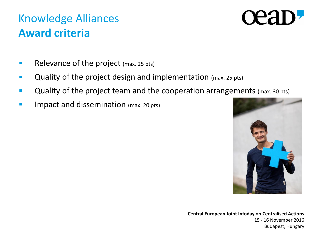## Knowledge Alliances **Award criteria**

# **TEA**

- Relevance of the project (max. 25 pts)
- Quality of the project design and implementation (max. 25 pts)
- **Quality of the project team and the cooperation arrangements** (max. 30 pts)
- **IMPACT and dissemination** (max. 20 pts)

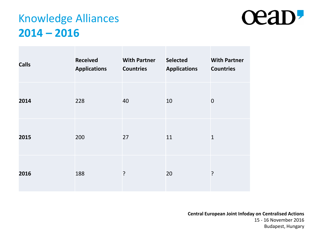## Knowledge Alliances **2014 – 2016**



| <b>Calls</b> | <b>Received</b><br><b>Applications</b> | <b>With Partner</b><br><b>Countries</b> | <b>Selected</b><br><b>Applications</b> | <b>With Partner</b><br><b>Countries</b> |
|--------------|----------------------------------------|-----------------------------------------|----------------------------------------|-----------------------------------------|
| 2014         | 228                                    | 40                                      | 10                                     | $\mathbf 0$                             |
| 2015         | 200                                    | 27                                      | 11                                     | $\mathbf 1$                             |
| 2016         | 188                                    | ?                                       | 20                                     | ?                                       |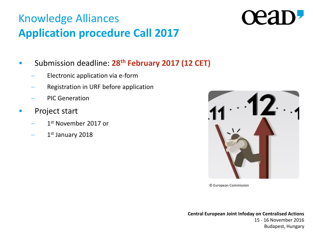## Knowledge Alliances **Application procedure Call 2017**

- Submission deadline: **28th February 2017 (12 CET)**
	- Electronic application via e-form
	- Registration in URF before application
	- PIC Generation
- **Project start** 
	- $-$  1<sup>st</sup> November 2017 or
	- 1<sup>st</sup> January 2018



© European Commission